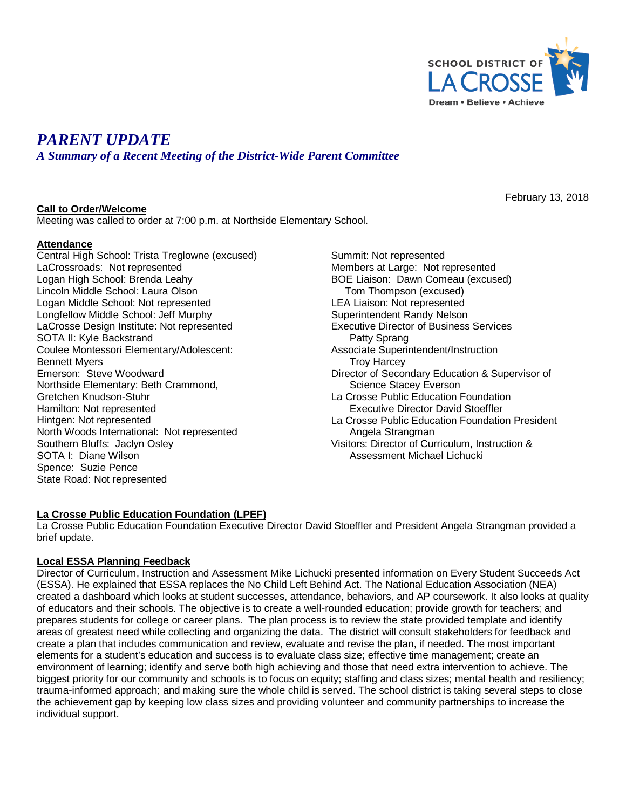

# *PARENT UPDATE*

*A Summary of a Recent Meeting of the District-Wide Parent Committee*

## **Call to Order/Welcome**

February 13, 2018

Meeting was called to order at 7:00 p.m. at Northside Elementary School.

## **Attendance**

Central High School: Trista Treglowne (excused) LaCrossroads: Not represented Logan High School: Brenda Leahy Lincoln Middle School: Laura Olson Logan Middle School: Not represented Longfellow Middle School: Jeff Murphy LaCrosse Design Institute: Not represented SOTA II: Kyle Backstrand Coulee Montessori Elementary/Adolescent: Bennett Myers Emerson: Steve Woodward Northside Elementary: Beth Crammond, Gretchen Knudson-Stuhr Hamilton: Not represented Hintgen: Not represented North Woods International: Not represented Southern Bluffs: Jaclyn Osley SOTA I: Diane Wilson Spence: Suzie Pence State Road: Not represented

Summit: Not represented Members at Large: Not represented BOE Liaison: Dawn Comeau (excused) Tom Thompson (excused) LEA Liaison: Not represented Superintendent Randy Nelson Executive Director of Business Services Patty Sprang Associate Superintendent/Instruction Troy Harcey Director of Secondary Education & Supervisor of Science Stacey Everson La Crosse Public Education Foundation Executive Director David Stoeffler La Crosse Public Education Foundation President Angela Strangman Visitors: Director of Curriculum, Instruction & Assessment Michael Lichucki

# **La Crosse Public Education Foundation (LPEF)**

La Crosse Public Education Foundation Executive Director David Stoeffler and President Angela Strangman provided a brief update.

# **Local ESSA Planning Feedback**

Director of Curriculum, Instruction and Assessment Mike Lichucki presented information on Every Student Succeeds Act (ESSA). He explained that ESSA replaces the No Child Left Behind Act. The National Education Association (NEA) created a dashboard which looks at student successes, attendance, behaviors, and AP coursework. It also looks at quality of educators and their schools. The objective is to create a well-rounded education; provide growth for teachers; and prepares students for college or career plans. The plan process is to review the state provided template and identify areas of greatest need while collecting and organizing the data. The district will consult stakeholders for feedback and create a plan that includes communication and review, evaluate and revise the plan, if needed. The most important elements for a student's education and success is to evaluate class size; effective time management; create an environment of learning; identify and serve both high achieving and those that need extra intervention to achieve. The biggest priority for our community and schools is to focus on equity; staffing and class sizes; mental health and resiliency; trauma-informed approach; and making sure the whole child is served. The school district is taking several steps to close the achievement gap by keeping low class sizes and providing volunteer and community partnerships to increase the individual support.